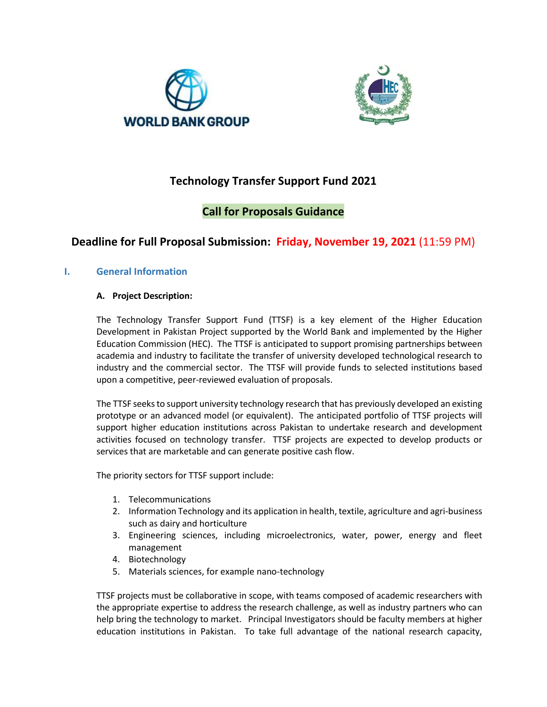



# **Technology Transfer Support Fund 2021**

# **Call for Proposals Guidance**

# **Deadline for Full Proposal Submission: Friday, November 19, 2021** (11:59 PM)

# **I. General Information**

## **A. Project Description:**

The Technology Transfer Support Fund (TTSF) is a key element of the Higher Education Development in Pakistan Project supported by the World Bank and implemented by the Higher Education Commission (HEC). The TTSF is anticipated to support promising partnerships between academia and industry to facilitate the transfer of university developed technological research to industry and the commercial sector. The TTSF will provide funds to selected institutions based upon a competitive, peer-reviewed evaluation of proposals.

The TTSF seeks to support university technology research that has previously developed an existing prototype or an advanced model (or equivalent). The anticipated portfolio of TTSF projects will support higher education institutions across Pakistan to undertake research and development activities focused on technology transfer. TTSF projects are expected to develop products or services that are marketable and can generate positive cash flow.

The priority sectors for TTSF support include:

- 1. Telecommunications
- 2. Information Technology and its application in health, textile, agriculture and agri-business such as dairy and horticulture
- 3. Engineering sciences, including microelectronics, water, power, energy and fleet management
- 4. Biotechnology
- 5. Materials sciences, for example nano-technology

TTSF projects must be collaborative in scope, with teams composed of academic researchers with the appropriate expertise to address the research challenge, as well as industry partners who can help bring the technology to market. Principal Investigators should be faculty members at higher education institutions in Pakistan. To take full advantage of the national research capacity,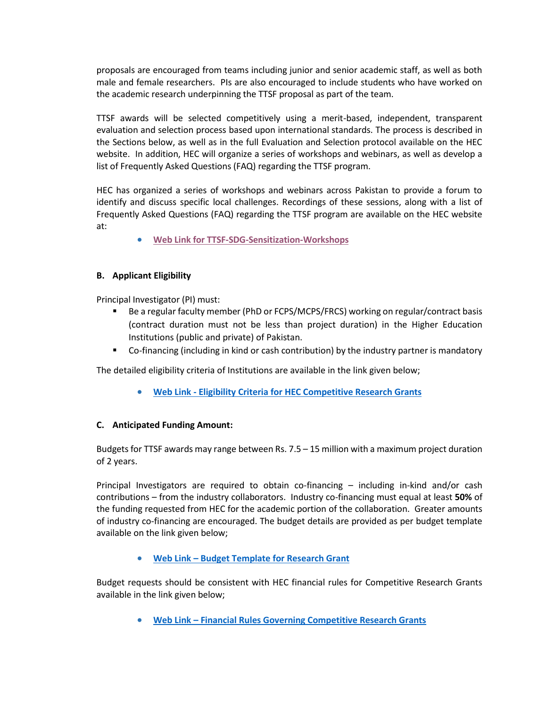proposals are encouraged from teams including junior and senior academic staff, as well as both male and female researchers. PIs are also encouraged to include students who have worked on the academic research underpinning the TTSF proposal as part of the team.

TTSF awards will be selected competitively using a merit-based, independent, transparent evaluation and selection process based upon international standards. The process is described in the Sections below, as well as in the full Evaluation and Selection protocol available on the HEC website. In addition, HEC will organize a series of workshops and webinars, as well as develop a list of Frequently Asked Questions (FAQ) regarding the TTSF program.

HEC has organized a series of workshops and webinars across Pakistan to provide a forum to identify and discuss specific local challenges. Recordings of these sessions, along with a list of Frequently Asked Questions (FAQ) regarding the TTSF program are available on the HEC website at:

**[Web Link for TTSF-SDG-Sensitization-Workshops](https://www.hec.gov.pk/english/services/faculty/TTSF/Pages/Technology-Transfer-Support-Fund-Workshop.aspx)**

## **B. Applicant Eligibility**

Principal Investigator (PI) must:

- Be a regular faculty member (PhD or FCPS/MCPS/FRCS) working on regular/contract basis (contract duration must not be less than project duration) in the Higher Education Institutions (public and private) of Pakistan.
- Co-financing (including in kind or cash contribution) by the industry partner is mandatory

The detailed eligibility criteria of Institutions are available in the link given below;

**Web Link - [Eligibility Criteria for HEC Competitive Research Grants](https://www.hec.gov.pk/english/services/faculty/TTSF/Documents/Eligibility%20for%20HEC%20Competitive%20Research%20Grants.pdf)**

#### **C. Anticipated Funding Amount:**

Budgets for TTSF awards may range between Rs. 7.5 – 15 million with a maximum project duration of 2 years.

Principal Investigators are required to obtain co-financing – including in-kind and/or cash contributions – from the industry collaborators. Industry co-financing must equal at least **50%** of the funding requested from HEC for the academic portion of the collaboration. Greater amounts of industry co-financing are encouraged. The budget details are provided as per budget template available on the link given below;

#### **Web Link – [Budget Template for Research Grant](https://www.hec.gov.pk/english/services/faculty/TTSF/Documents/2020/Budget%20Template%20-%20TTSF.xlsx?Web=1)**

Budget requests should be consistent with HEC financial rules for Competitive Research Grants available in the link given below;

**Web Link – [Financial Rules Governing Competitive Research Grants](https://www.hec.gov.pk/english/services/faculty/TTSF/Documents/2020/Financial%20Rules%20for%20HEC%20Competitive%20Research%20Grants.pdf)**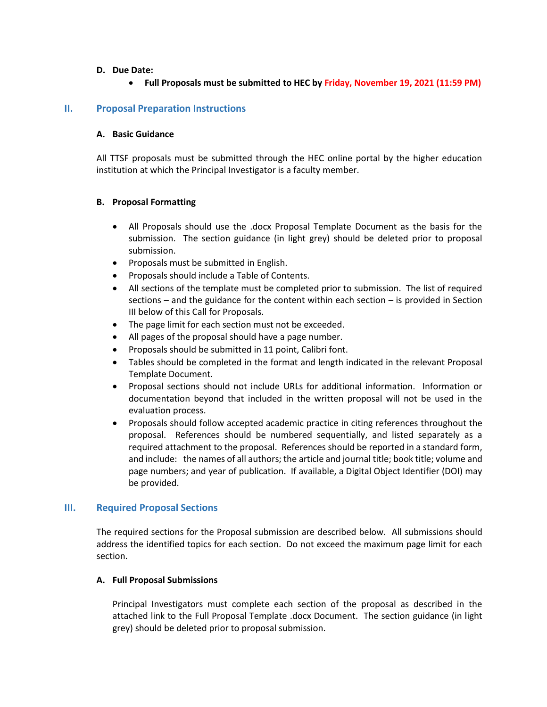#### **D. Due Date:**

#### **Full Proposals must be submitted to HEC by Friday, November 19, 2021 (11:59 PM)**

#### **II. Proposal Preparation Instructions**

#### **A. Basic Guidance**

All TTSF proposals must be submitted through the HEC online portal by the higher education institution at which the Principal Investigator is a faculty member.

#### **B. Proposal Formatting**

- All Proposals should use the .docx Proposal Template Document as the basis for the submission. The section guidance (in light grey) should be deleted prior to proposal submission.
- Proposals must be submitted in English.
- Proposals should include a Table of Contents.
- All sections of the template must be completed prior to submission. The list of required sections – and the guidance for the content within each section – is provided in Section III below of this Call for Proposals.
- The page limit for each section must not be exceeded.
- All pages of the proposal should have a page number.
- Proposals should be submitted in 11 point, Calibri font.
- Tables should be completed in the format and length indicated in the relevant Proposal Template Document.
- Proposal sections should not include URLs for additional information. Information or documentation beyond that included in the written proposal will not be used in the evaluation process.
- Proposals should follow accepted academic practice in citing references throughout the proposal. References should be numbered sequentially, and listed separately as a required attachment to the proposal. References should be reported in a standard form, and include: the names of all authors; the article and journal title; book title; volume and page numbers; and year of publication. If available, a Digital Object Identifier (DOI) may be provided.

#### **III. Required Proposal Sections**

The required sections for the Proposal submission are described below. All submissions should address the identified topics for each section. Do not exceed the maximum page limit for each section.

#### **A. Full Proposal Submissions**

Principal Investigators must complete each section of the proposal as described in the attached link to the Full Proposal Template .docx Document. The section guidance (in light grey) should be deleted prior to proposal submission.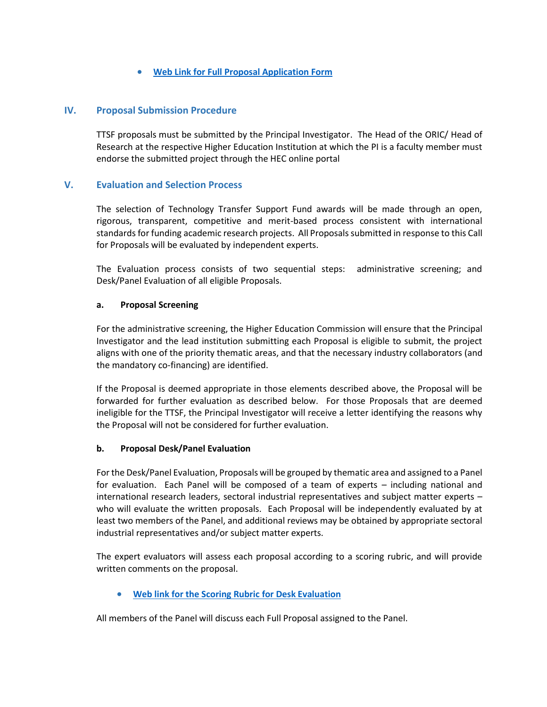# **[Web Link for Full Proposal Application Form](https://www.hec.gov.pk/english/services/faculty/TTSF/Documents/2021/Full%20Proposal%20Template%20-%20TTSF%202021.DOCX)**

## **IV. Proposal Submission Procedure**

TTSF proposals must be submitted by the Principal Investigator. The Head of the ORIC/ Head of Research at the respective Higher Education Institution at which the PI is a faculty member must endorse the submitted project through the HEC online portal

## **V. Evaluation and Selection Process**

The selection of Technology Transfer Support Fund awards will be made through an open, rigorous, transparent, competitive and merit-based process consistent with international standards for funding academic research projects. All Proposals submitted in response to this Call for Proposals will be evaluated by independent experts.

The Evaluation process consists of two sequential steps: administrative screening; and Desk/Panel Evaluation of all eligible Proposals.

#### **a. Proposal Screening**

For the administrative screening, the Higher Education Commission will ensure that the Principal Investigator and the lead institution submitting each Proposal is eligible to submit, the project aligns with one of the priority thematic areas, and that the necessary industry collaborators (and the mandatory co-financing) are identified.

If the Proposal is deemed appropriate in those elements described above, the Proposal will be forwarded for further evaluation as described below. For those Proposals that are deemed ineligible for the TTSF, the Principal Investigator will receive a letter identifying the reasons why the Proposal will not be considered for further evaluation.

#### **b. Proposal Desk/Panel Evaluation**

For the Desk/Panel Evaluation, Proposals will be grouped by thematic area and assigned to a Panel for evaluation. Each Panel will be composed of a team of experts – including national and international research leaders, sectoral industrial representatives and subject matter experts – who will evaluate the written proposals. Each Proposal will be independently evaluated by at least two members of the Panel, and additional reviews may be obtained by appropriate sectoral industrial representatives and/or subject matter experts.

The expert evaluators will assess each proposal according to a scoring rubric, and will provide written comments on the proposal.

**[Web link for the Scoring Rubric for Desk](https://www.hec.gov.pk/english/services/faculty/TTSF/Documents/Evaluation%20Rubrics%20For%20Desk%20Evaluation-TTSF.pdf) Evaluation**

All members of the Panel will discuss each Full Proposal assigned to the Panel.